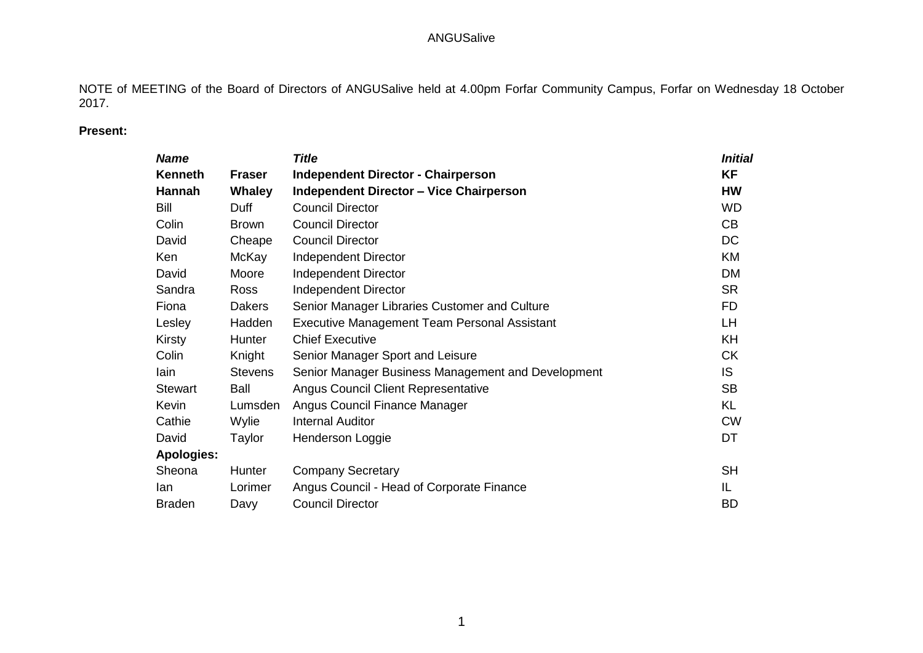NOTE of MEETING of the Board of Directors of ANGUSalive held at 4.00pm Forfar Community Campus, Forfar on Wednesday 18 October 2017.

# **Present:**

| <b>Name</b>       |                | <b>Title</b>                                        | <b>Initial</b> |
|-------------------|----------------|-----------------------------------------------------|----------------|
| <b>Kenneth</b>    | <b>Fraser</b>  | <b>Independent Director - Chairperson</b>           | <b>KF</b>      |
| Hannah            | <b>Whaley</b>  | <b>Independent Director - Vice Chairperson</b>      | <b>HW</b>      |
| Bill              | Duff           | <b>Council Director</b>                             | <b>WD</b>      |
| Colin             | <b>Brown</b>   | <b>Council Director</b>                             | CB             |
| David             | Cheape         | <b>Council Director</b>                             | <b>DC</b>      |
| Ken               | McKay          | <b>Independent Director</b>                         | KM             |
| David             | Moore          | <b>Independent Director</b>                         | <b>DM</b>      |
| Sandra            | <b>Ross</b>    | Independent Director                                | <b>SR</b>      |
| Fiona             | <b>Dakers</b>  | Senior Manager Libraries Customer and Culture       | FD.            |
| Lesley            | Hadden         | <b>Executive Management Team Personal Assistant</b> | LH.            |
| Kirsty            | Hunter         | <b>Chief Executive</b>                              | KH             |
| Colin             | Knight         | Senior Manager Sport and Leisure                    | <b>CK</b>      |
| lain              | <b>Stevens</b> | Senior Manager Business Management and Development  | <b>IS</b>      |
| <b>Stewart</b>    | Ball           | <b>Angus Council Client Representative</b>          | <b>SB</b>      |
| Kevin             | Lumsden        | Angus Council Finance Manager                       | <b>KL</b>      |
| Cathie            | Wylie          | <b>Internal Auditor</b>                             | <b>CW</b>      |
| David             | Taylor         | Henderson Loggie                                    | DT             |
| <b>Apologies:</b> |                |                                                     |                |
| Sheona            | <b>Hunter</b>  | <b>Company Secretary</b>                            | <b>SH</b>      |
| lan               | Lorimer        | Angus Council - Head of Corporate Finance           | IL             |
| <b>Braden</b>     | Davy           | <b>Council Director</b>                             | <b>BD</b>      |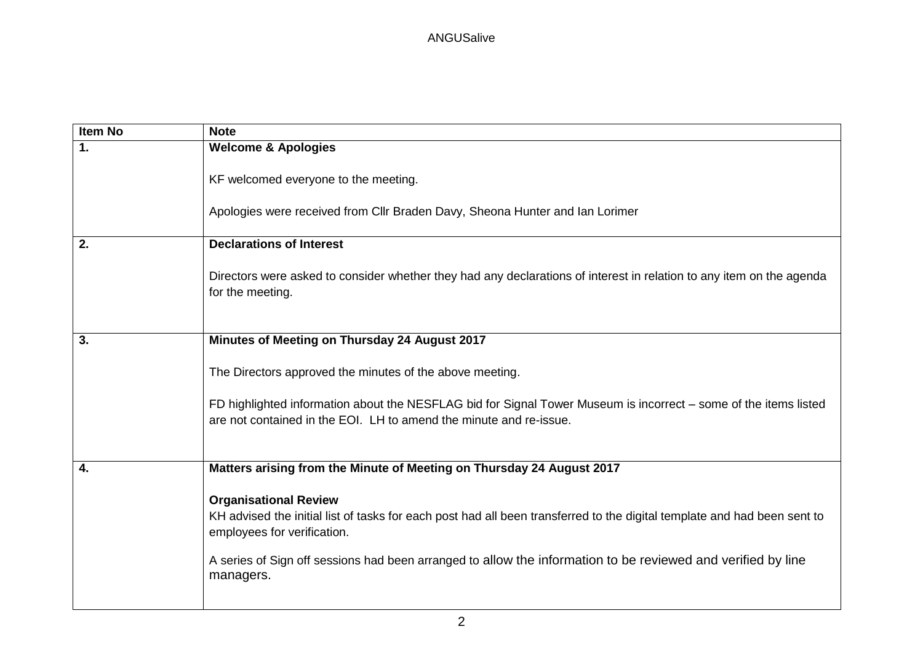| <b>Item No</b> | <b>Note</b>                                                                                                                                                                            |
|----------------|----------------------------------------------------------------------------------------------------------------------------------------------------------------------------------------|
| $\mathbf{1}$ . | <b>Welcome &amp; Apologies</b>                                                                                                                                                         |
|                | KF welcomed everyone to the meeting.<br>Apologies were received from Cllr Braden Davy, Sheona Hunter and Ian Lorimer                                                                   |
|                |                                                                                                                                                                                        |
| 2.             | <b>Declarations of Interest</b>                                                                                                                                                        |
|                | Directors were asked to consider whether they had any declarations of interest in relation to any item on the agenda<br>for the meeting.                                               |
| 3.             | Minutes of Meeting on Thursday 24 August 2017                                                                                                                                          |
|                | The Directors approved the minutes of the above meeting.                                                                                                                               |
|                | FD highlighted information about the NESFLAG bid for Signal Tower Museum is incorrect - some of the items listed<br>are not contained in the EOI. LH to amend the minute and re-issue. |
|                |                                                                                                                                                                                        |
| 4.             | Matters arising from the Minute of Meeting on Thursday 24 August 2017                                                                                                                  |
|                | <b>Organisational Review</b>                                                                                                                                                           |
|                | KH advised the initial list of tasks for each post had all been transferred to the digital template and had been sent to<br>employees for verification.                                |
|                | A series of Sign off sessions had been arranged to allow the information to be reviewed and verified by line<br>managers.                                                              |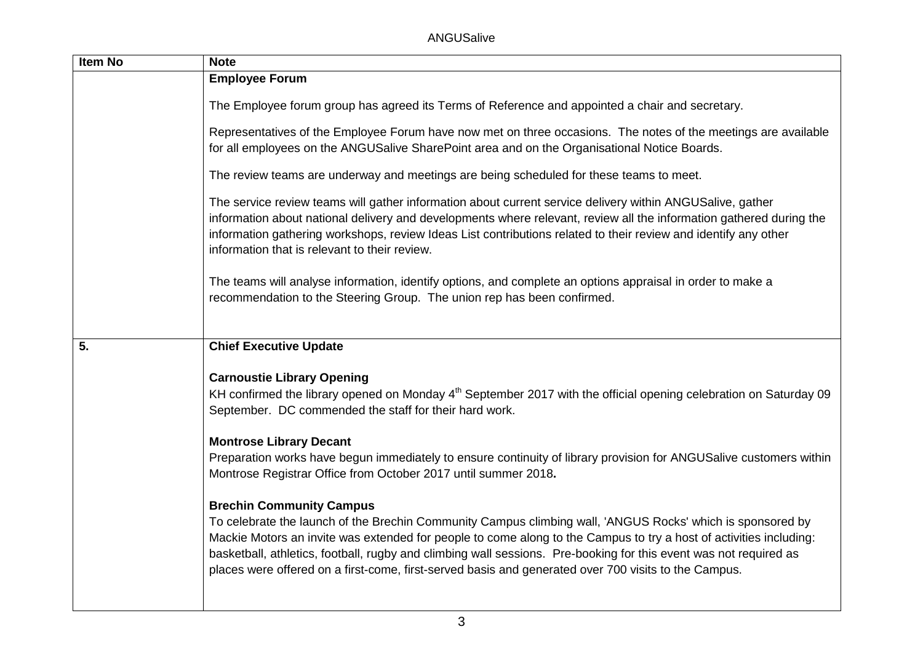ANGUSalive

| <b>Item No</b> | <b>Note</b>                                                                                                                                                                                                                                                                                                                                                                                                                                                                                      |
|----------------|--------------------------------------------------------------------------------------------------------------------------------------------------------------------------------------------------------------------------------------------------------------------------------------------------------------------------------------------------------------------------------------------------------------------------------------------------------------------------------------------------|
|                | <b>Employee Forum</b>                                                                                                                                                                                                                                                                                                                                                                                                                                                                            |
|                | The Employee forum group has agreed its Terms of Reference and appointed a chair and secretary.                                                                                                                                                                                                                                                                                                                                                                                                  |
|                | Representatives of the Employee Forum have now met on three occasions. The notes of the meetings are available<br>for all employees on the ANGUSalive SharePoint area and on the Organisational Notice Boards.                                                                                                                                                                                                                                                                                   |
|                | The review teams are underway and meetings are being scheduled for these teams to meet.                                                                                                                                                                                                                                                                                                                                                                                                          |
|                | The service review teams will gather information about current service delivery within ANGUSalive, gather<br>information about national delivery and developments where relevant, review all the information gathered during the<br>information gathering workshops, review Ideas List contributions related to their review and identify any other<br>information that is relevant to their review.                                                                                             |
|                | The teams will analyse information, identify options, and complete an options appraisal in order to make a<br>recommendation to the Steering Group. The union rep has been confirmed.                                                                                                                                                                                                                                                                                                            |
| 5.             | <b>Chief Executive Update</b>                                                                                                                                                                                                                                                                                                                                                                                                                                                                    |
|                | <b>Carnoustie Library Opening</b><br>KH confirmed the library opened on Monday 4 <sup>th</sup> September 2017 with the official opening celebration on Saturday 09<br>September. DC commended the staff for their hard work.                                                                                                                                                                                                                                                                     |
|                | <b>Montrose Library Decant</b><br>Preparation works have begun immediately to ensure continuity of library provision for ANGUSalive customers within<br>Montrose Registrar Office from October 2017 until summer 2018.                                                                                                                                                                                                                                                                           |
|                | <b>Brechin Community Campus</b><br>To celebrate the launch of the Brechin Community Campus climbing wall, 'ANGUS Rocks' which is sponsored by<br>Mackie Motors an invite was extended for people to come along to the Campus to try a host of activities including:<br>basketball, athletics, football, rugby and climbing wall sessions. Pre-booking for this event was not required as<br>places were offered on a first-come, first-served basis and generated over 700 visits to the Campus. |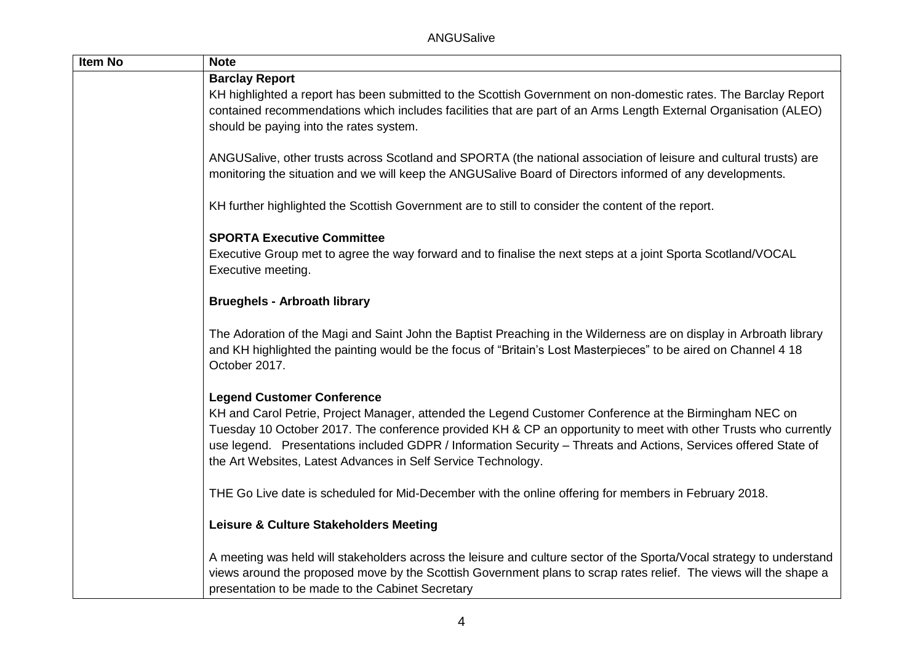| Item No | <b>Note</b>                                                                                                                                                                                                                                                                                                                                                                                                   |
|---------|---------------------------------------------------------------------------------------------------------------------------------------------------------------------------------------------------------------------------------------------------------------------------------------------------------------------------------------------------------------------------------------------------------------|
|         | <b>Barclay Report</b>                                                                                                                                                                                                                                                                                                                                                                                         |
|         | KH highlighted a report has been submitted to the Scottish Government on non-domestic rates. The Barclay Report                                                                                                                                                                                                                                                                                               |
|         | contained recommendations which includes facilities that are part of an Arms Length External Organisation (ALEO)                                                                                                                                                                                                                                                                                              |
|         | should be paying into the rates system.                                                                                                                                                                                                                                                                                                                                                                       |
|         | ANGUSalive, other trusts across Scotland and SPORTA (the national association of leisure and cultural trusts) are<br>monitoring the situation and we will keep the ANGUSalive Board of Directors informed of any developments.                                                                                                                                                                                |
|         | KH further highlighted the Scottish Government are to still to consider the content of the report.                                                                                                                                                                                                                                                                                                            |
|         | <b>SPORTA Executive Committee</b>                                                                                                                                                                                                                                                                                                                                                                             |
|         | Executive Group met to agree the way forward and to finalise the next steps at a joint Sporta Scotland/VOCAL                                                                                                                                                                                                                                                                                                  |
|         | Executive meeting.                                                                                                                                                                                                                                                                                                                                                                                            |
|         | <b>Brueghels - Arbroath library</b>                                                                                                                                                                                                                                                                                                                                                                           |
|         | The Adoration of the Magi and Saint John the Baptist Preaching in the Wilderness are on display in Arbroath library<br>and KH highlighted the painting would be the focus of "Britain's Lost Masterpieces" to be aired on Channel 4 18<br>October 2017.                                                                                                                                                       |
|         | <b>Legend Customer Conference</b>                                                                                                                                                                                                                                                                                                                                                                             |
|         | KH and Carol Petrie, Project Manager, attended the Legend Customer Conference at the Birmingham NEC on<br>Tuesday 10 October 2017. The conference provided KH & CP an opportunity to meet with other Trusts who currently<br>use legend. Presentations included GDPR / Information Security - Threats and Actions, Services offered State of<br>the Art Websites, Latest Advances in Self Service Technology. |
|         | THE Go Live date is scheduled for Mid-December with the online offering for members in February 2018.                                                                                                                                                                                                                                                                                                         |
|         | Leisure & Culture Stakeholders Meeting                                                                                                                                                                                                                                                                                                                                                                        |
|         | A meeting was held will stakeholders across the leisure and culture sector of the Sporta/Vocal strategy to understand<br>views around the proposed move by the Scottish Government plans to scrap rates relief. The views will the shape a<br>presentation to be made to the Cabinet Secretary                                                                                                                |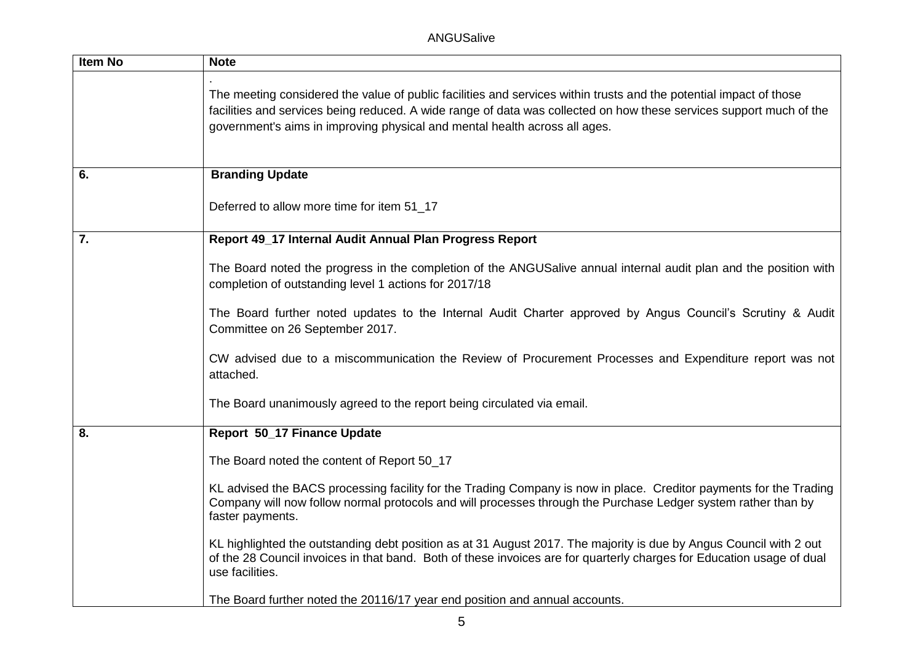| Item No | <b>Note</b>                                                                                                                                                                                                                                                                                                             |
|---------|-------------------------------------------------------------------------------------------------------------------------------------------------------------------------------------------------------------------------------------------------------------------------------------------------------------------------|
|         | The meeting considered the value of public facilities and services within trusts and the potential impact of those<br>facilities and services being reduced. A wide range of data was collected on how these services support much of the<br>government's aims in improving physical and mental health across all ages. |
| 6.      | <b>Branding Update</b>                                                                                                                                                                                                                                                                                                  |
|         | Deferred to allow more time for item 51_17                                                                                                                                                                                                                                                                              |
| 7.      | Report 49_17 Internal Audit Annual Plan Progress Report                                                                                                                                                                                                                                                                 |
|         | The Board noted the progress in the completion of the ANGUSalive annual internal audit plan and the position with<br>completion of outstanding level 1 actions for 2017/18                                                                                                                                              |
|         | The Board further noted updates to the Internal Audit Charter approved by Angus Council's Scrutiny & Audit<br>Committee on 26 September 2017.                                                                                                                                                                           |
|         | CW advised due to a miscommunication the Review of Procurement Processes and Expenditure report was not<br>attached.                                                                                                                                                                                                    |
|         | The Board unanimously agreed to the report being circulated via email.                                                                                                                                                                                                                                                  |
| 8.      | Report 50_17 Finance Update                                                                                                                                                                                                                                                                                             |
|         | The Board noted the content of Report 50_17                                                                                                                                                                                                                                                                             |
|         | KL advised the BACS processing facility for the Trading Company is now in place. Creditor payments for the Trading<br>Company will now follow normal protocols and will processes through the Purchase Ledger system rather than by<br>faster payments.                                                                 |
|         | KL highlighted the outstanding debt position as at 31 August 2017. The majority is due by Angus Council with 2 out<br>of the 28 Council invoices in that band. Both of these invoices are for quarterly charges for Education usage of dual<br>use facilities.                                                          |
|         | The Board further noted the 20116/17 year end position and annual accounts.                                                                                                                                                                                                                                             |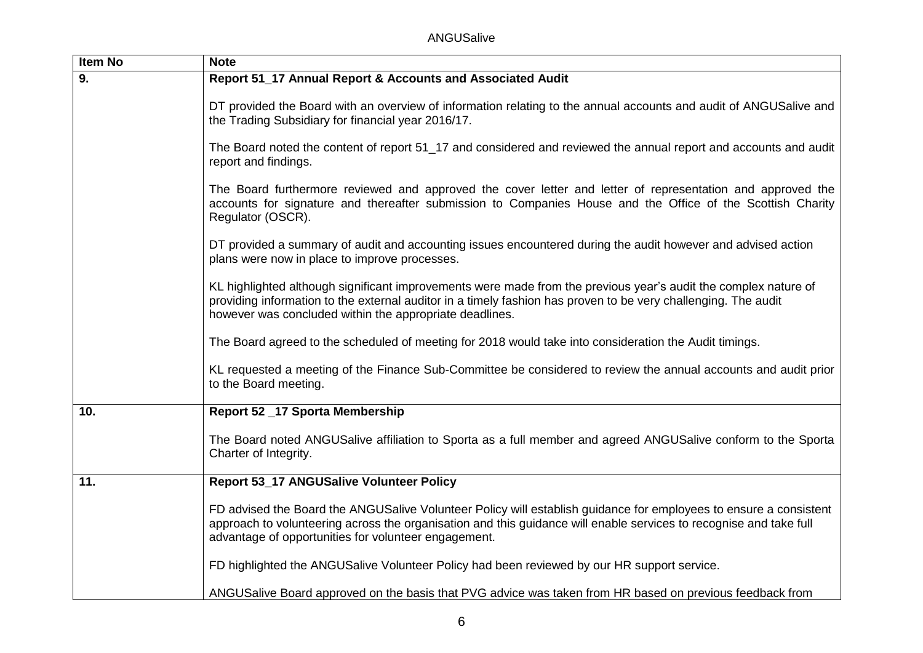ANGUSalive

| <b>Item No</b> | <b>Note</b>                                                                                                                                                                                                                                                                                     |
|----------------|-------------------------------------------------------------------------------------------------------------------------------------------------------------------------------------------------------------------------------------------------------------------------------------------------|
| 9.             | Report 51_17 Annual Report & Accounts and Associated Audit                                                                                                                                                                                                                                      |
|                | DT provided the Board with an overview of information relating to the annual accounts and audit of ANGUSalive and<br>the Trading Subsidiary for financial year 2016/17.                                                                                                                         |
|                | The Board noted the content of report 51_17 and considered and reviewed the annual report and accounts and audit<br>report and findings.                                                                                                                                                        |
|                | The Board furthermore reviewed and approved the cover letter and letter of representation and approved the<br>accounts for signature and thereafter submission to Companies House and the Office of the Scottish Charity<br>Regulator (OSCR).                                                   |
|                | DT provided a summary of audit and accounting issues encountered during the audit however and advised action<br>plans were now in place to improve processes.                                                                                                                                   |
|                | KL highlighted although significant improvements were made from the previous year's audit the complex nature of<br>providing information to the external auditor in a timely fashion has proven to be very challenging. The audit<br>however was concluded within the appropriate deadlines.    |
|                | The Board agreed to the scheduled of meeting for 2018 would take into consideration the Audit timings.                                                                                                                                                                                          |
|                | KL requested a meeting of the Finance Sub-Committee be considered to review the annual accounts and audit prior<br>to the Board meeting.                                                                                                                                                        |
| 10.            | Report 52 _17 Sporta Membership                                                                                                                                                                                                                                                                 |
|                | The Board noted ANGUSalive affiliation to Sporta as a full member and agreed ANGUSalive conform to the Sporta<br>Charter of Integrity.                                                                                                                                                          |
| 11.            | <b>Report 53_17 ANGUSalive Volunteer Policy</b>                                                                                                                                                                                                                                                 |
|                | FD advised the Board the ANGUSalive Volunteer Policy will establish guidance for employees to ensure a consistent<br>approach to volunteering across the organisation and this guidance will enable services to recognise and take full<br>advantage of opportunities for volunteer engagement. |
|                | FD highlighted the ANGUSalive Volunteer Policy had been reviewed by our HR support service.                                                                                                                                                                                                     |
|                | ANGUSalive Board approved on the basis that PVG advice was taken from HR based on previous feedback from                                                                                                                                                                                        |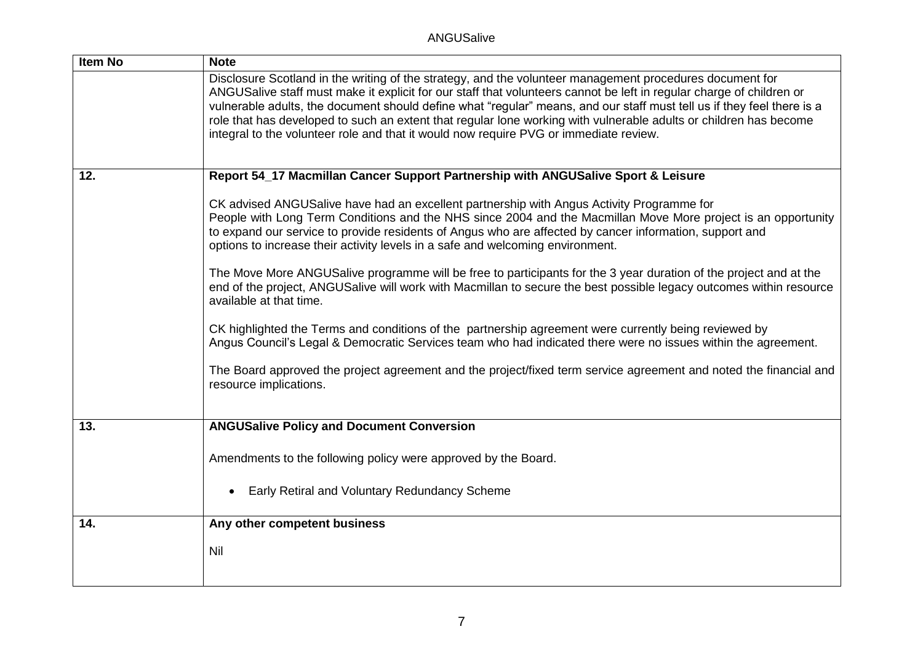| <b>Item No</b> | <b>Note</b>                                                                                                                                                                                                                                                                                                                                                                                                                                                                                                                                                              |
|----------------|--------------------------------------------------------------------------------------------------------------------------------------------------------------------------------------------------------------------------------------------------------------------------------------------------------------------------------------------------------------------------------------------------------------------------------------------------------------------------------------------------------------------------------------------------------------------------|
|                | Disclosure Scotland in the writing of the strategy, and the volunteer management procedures document for<br>ANGUSalive staff must make it explicit for our staff that volunteers cannot be left in regular charge of children or<br>vulnerable adults, the document should define what "regular" means, and our staff must tell us if they feel there is a<br>role that has developed to such an extent that regular lone working with vulnerable adults or children has become<br>integral to the volunteer role and that it would now require PVG or immediate review. |
| 12.            | Report 54_17 Macmillan Cancer Support Partnership with ANGUSalive Sport & Leisure                                                                                                                                                                                                                                                                                                                                                                                                                                                                                        |
|                | CK advised ANGUSalive have had an excellent partnership with Angus Activity Programme for<br>People with Long Term Conditions and the NHS since 2004 and the Macmillan Move More project is an opportunity<br>to expand our service to provide residents of Angus who are affected by cancer information, support and<br>options to increase their activity levels in a safe and welcoming environment.                                                                                                                                                                  |
|                | The Move More ANGUSalive programme will be free to participants for the 3 year duration of the project and at the<br>end of the project, ANGUSalive will work with Macmillan to secure the best possible legacy outcomes within resource<br>available at that time.                                                                                                                                                                                                                                                                                                      |
|                | CK highlighted the Terms and conditions of the partnership agreement were currently being reviewed by<br>Angus Council's Legal & Democratic Services team who had indicated there were no issues within the agreement.                                                                                                                                                                                                                                                                                                                                                   |
|                | The Board approved the project agreement and the project/fixed term service agreement and noted the financial and<br>resource implications.                                                                                                                                                                                                                                                                                                                                                                                                                              |
| 13.            | <b>ANGUSalive Policy and Document Conversion</b>                                                                                                                                                                                                                                                                                                                                                                                                                                                                                                                         |
|                | Amendments to the following policy were approved by the Board.                                                                                                                                                                                                                                                                                                                                                                                                                                                                                                           |
|                | Early Retiral and Voluntary Redundancy Scheme<br>$\bullet$                                                                                                                                                                                                                                                                                                                                                                                                                                                                                                               |
| 14.            | Any other competent business                                                                                                                                                                                                                                                                                                                                                                                                                                                                                                                                             |
|                | <b>Nil</b>                                                                                                                                                                                                                                                                                                                                                                                                                                                                                                                                                               |